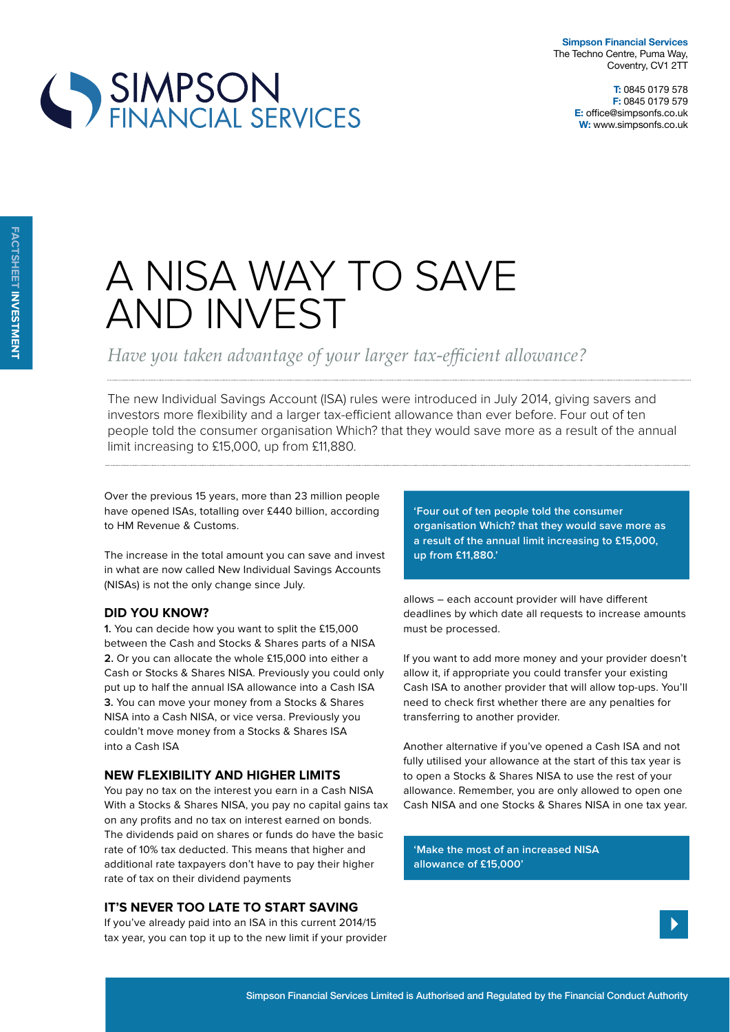**T:** 0845 0179 578 **F:** 0845 0179 579 **E:** office@simpsonfs.co.uk **W:** www.simpsonfs.co.uk



# A NISA WAY TO SAVE AND INVEST

Have you taken advantage of your larger tax-efficient allowance?

The new Individual Savings Account (ISA) rules were introduced in July 2014, giving savers and investors more flexibility and a larger tax-efficient allowance than ever before. Four out of ten people told the consumer organisation Which? that they would save more as a result of the annual limit increasing to £15,000, up from £11,880.

Over the previous 15 years, more than 23 million people have opened ISAs, totalling over £440 billion, according to HM Revenue & Customs.

The increase in the total amount you can save and invest in what are now called New Individual Savings Accounts (NISAs) is not the only change since July.

### **did you know?**

**1.** You can decide how you want to split the £15,000 between the Cash and Stocks & Shares parts of a NISA **2.** Or you can allocate the whole £15,000 into either a Cash or Stocks & Shares NISA. Previously you could only put up to half the annual ISA allowance into a Cash ISA **3.** You can move your money from a Stocks & Shares NISA into a Cash NISA, or vice versa. Previously you couldn't move money from a Stocks & Shares ISA into a Cash ISA

#### **new FlexiBility and HigHer limits**

You pay no tax on the interest you earn in a Cash NISA With a Stocks & Shares NISA, you pay no capital gains tax on any profits and no tax on interest earned on bonds. The dividends paid on shares or funds do have the basic rate of 10% tax deducted. This means that higher and additional rate taxpayers don't have to pay their higher rate of tax on their dividend payments

### **it's never too late to start saving**

If you've already paid into an ISA in this current 2014/15 tax year, you can top it up to the new limit if your provider **'Four out of ten people told the consumer organisation Which? that they would save more as a result of the annual limit increasing to £15,000, up from £11,880.'**

allows – each account provider will have diferent deadlines by which date all requests to increase amounts must be processed.

If you want to add more money and your provider doesn't allow it, if appropriate you could transfer your existing Cash ISA to another provider that will allow top-ups. You'll need to check first whether there are any penalties for transferring to another provider.

Another alternative if you've opened a Cash ISA and not fully utilised your allowance at the start of this tax year is to open a Stocks & Shares NISA to use the rest of your allowance. Remember, you are only allowed to open one Cash NISA and one Stocks & Shares NISA in one tax year.

**'Make the most of an increased NISA allowance of £15,000'**